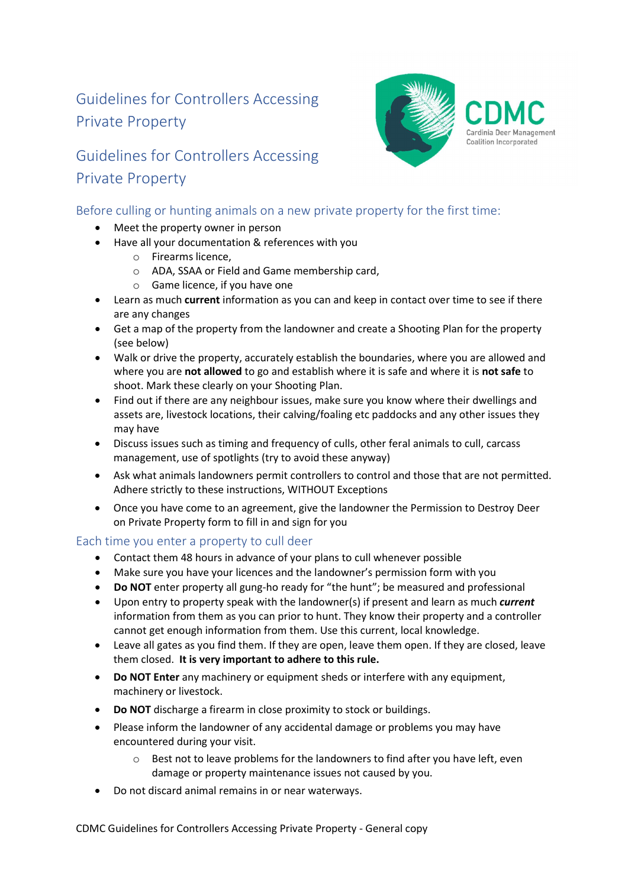# Guidelines for Controllers Accessing Private Property

## Guidelines for Controllers Accessing Private Property



### Before culling or hunting animals on a new private property for the first time:

- Meet the property owner in person
- Have all your documentation & references with you
	- o Firearms licence,
	- o ADA, SSAA or Field and Game membership card,
	- o Game licence, if you have one
- Learn as much current information as you can and keep in contact over time to see if there are any changes
- Get a map of the property from the landowner and create a Shooting Plan for the property (see below)
- Walk or drive the property, accurately establish the boundaries, where you are allowed and where you are not allowed to go and establish where it is safe and where it is not safe to shoot. Mark these clearly on your Shooting Plan.
- Find out if there are any neighbour issues, make sure you know where their dwellings and assets are, livestock locations, their calving/foaling etc paddocks and any other issues they may have
- Discuss issues such as timing and frequency of culls, other feral animals to cull, carcass management, use of spotlights (try to avoid these anyway)
- Ask what animals landowners permit controllers to control and those that are not permitted. Adhere strictly to these instructions, WITHOUT Exceptions
- Once you have come to an agreement, give the landowner the Permission to Destroy Deer on Private Property form to fill in and sign for you

#### Each time you enter a property to cull deer

- Contact them 48 hours in advance of your plans to cull whenever possible
- Make sure you have your licences and the landowner's permission form with you
- Do NOT enter property all gung-ho ready for "the hunt"; be measured and professional
- Upon entry to property speak with the landowner(s) if present and learn as much current information from them as you can prior to hunt. They know their property and a controller cannot get enough information from them. Use this current, local knowledge.
- Leave all gates as you find them. If they are open, leave them open. If they are closed, leave them closed. It is very important to adhere to this rule.
- Do NOT Enter any machinery or equipment sheds or interfere with any equipment, machinery or livestock.
- Do NOT discharge a firearm in close proximity to stock or buildings.
- Please inform the landowner of any accidental damage or problems you may have encountered during your visit.
	- $\circ$  Best not to leave problems for the landowners to find after you have left, even damage or property maintenance issues not caused by you.
- Do not discard animal remains in or near waterways.